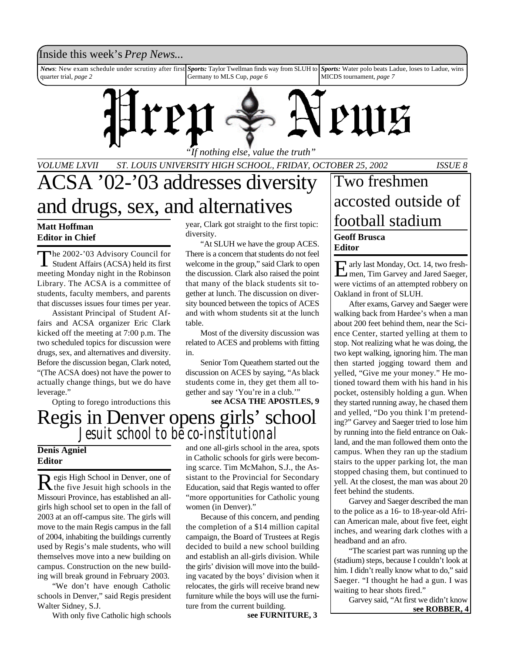### Inside this week's *Prep News*...

*News*: New exam schedule under scrutiny after first quarter trial, *page 2 Sports:* Taylor Twellman finds way from SLUH to Germany to MLS Cup, *page 6 Sports:* Water polo beats Ladue, loses to Ladue, wins MICDS tournament, *page 7*



*"If nothing else, value the truth"*

*VOLUME LXVII ST. LOUIS UNIVERSITY HIGH SCHOOL, FRIDAY, OCTOBER 25, 2002 ISSUE 8*

## ACSA '02-'03 addresses diversity and drugs, sex, and alternatives

## **Editor in Chief**

The 2002-'03 Advisory Council for<br>Student Affairs (ACSA) held its first he 2002-'03 Advisory Council for meeting Monday night in the Robinson Library. The ACSA is a committee of students, faculty members, and parents that discusses issues four times per year.

Assistant Principal of Student Affairs and ACSA organizer Eric Clark kicked off the meeting at 7:00 p.m. The two scheduled topics for discussion were drugs, sex, and alternatives and diversity. Before the discussion began, Clark noted, "(The ACSA does) not have the power to actually change things, but we do have leverage."

Opting to forego introductions this

year, Clark got straight to the first topic: diversity.

"At SLUH we have the group ACES. There is a concern that students do not feel welcome in the group," said Clark to open the discussion. Clark also raised the point that many of the black students sit together at lunch. The discussion on diversity bounced between the topics of ACES and with whom students sit at the lunch table.

Most of the diversity discussion was related to ACES and problems with fitting in.

Senior Tom Queathem started out the discussion on ACES by saying, "As black students come in, they get them all together and say 'You're in a club.'"

**see ACSA THE APOSTLES, 9**

## Regis in Denver opens girls' school *Jesuit school to be co-institutional*

### **Denis Agniel Editor**

Regis High School in Denver, one of egis High School in Denver, one of Missouri Province, has established an allgirls high school set to open in the fall of 2003 at an off-campus site. The girls will move to the main Regis campus in the fall of 2004, inhabiting the buildings currently used by Regis's male students, who will themselves move into a new building on campus. Construction on the new building will break ground in February 2003.

"We don't have enough Catholic schools in Denver," said Regis president Walter Sidney, S.J.

With only five Catholic high schools

and one all-girls school in the area, spots in Catholic schools for girls were becoming scarce. Tim McMahon, S.J., the Assistant to the Provincial for Secondary Education, said that Regis wanted to offer "more opportunities for Catholic young women (in Denver)."

Because of this concern, and pending the completion of a \$14 million capital campaign, the Board of Trustees at Regis decided to build a new school building and establish an all-girls division. While the girls' division will move into the building vacated by the boys' division when it relocates, the girls will receive brand new furniture while the boys will use the furniture from the current building.

**see FURNITURE, 3**

### **Geoff Brusca Editor** Two freshmen accosted outside of Matt Hoffman **for the Section of the Section** Spear, Clark got straight to the first topic: **football stadium**

E arly last Monday, Oct. 14, two fresh-<br>
men, Tim Garvey and Jared Saeger, men, Tim Garvey and Jared Saeger, were victims of an attempted robbery on Oakland in front of SLUH.

After exams, Garvey and Saeger were walking back from Hardee's when a man about 200 feet behind them, near the Science Center, started yelling at them to stop. Not realizing what he was doing, the two kept walking, ignoring him. The man then started jogging toward them and yelled, "Give me your money." He motioned toward them with his hand in his pocket, ostensibly holding a gun. When they started running away, he chased them and yelled, "Do you think I'm pretending?" Garvey and Saeger tried to lose him by running into the field entrance on Oakland, and the man followed them onto the campus. When they ran up the stadium stairs to the upper parking lot, the man stopped chasing them, but continued to yell. At the closest, the man was about 20 feet behind the students.

Garvey and Saeger described the man to the police as a 16- to 18-year-old African American male, about five feet, eight inches, and wearing dark clothes with a headband and an afro.

"The scariest part was running up the (stadium) steps, because I couldn't look at him. I didn't really know what to do," said Saeger. "I thought he had a gun. I was waiting to hear shots fired."

**see ROBBER, 4** Garvey said, "At first we didn't know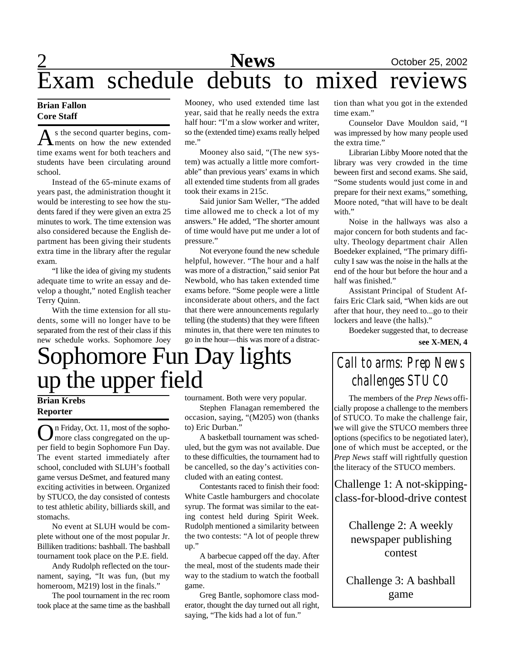## 2 **News** October 25, 2002 Exam schedule debuts to mixed reviews

### **Brian Fallon Core Staff**

A s the second quarter begins, com-<br>ments on how the new extended s the second quarter begins, comtime exams went for both teachers and students have been circulating around school.

Instead of the 65-minute exams of years past, the administration thought it would be interesting to see how the students fared if they were given an extra 25 minutes to work. The time extension was also considered because the English department has been giving their students extra time in the library after the regular exam.

"I like the idea of giving my students adequate time to write an essay and develop a thought," noted English teacher Terry Quinn.

With the time extension for all students, some will no longer have to be separated from the rest of their class if this new schedule works. Sophomore Joey Mooney, who used extended time last year, said that he really needs the extra half hour: "I'm a slow worker and writer, so the (extended time) exams really helped me."

Mooney also said, "(The new system) was actually a little more comfortable" than previous years' exams in which all extended time students from all grades took their exams in 215c.

Said junior Sam Weller, "The added time allowed me to check a lot of my answers." He added, "The shorter amount of time would have put me under a lot of pressure."

Not everyone found the new schedule helpful, however. "The hour and a half was more of a distraction," said senior Pat Newbold, who has taken extended time exams before. "Some people were a little inconsiderate about others, and the fact that there were announcements regularly telling (the students) that they were fifteen minutes in, that there were ten minutes to go in the hour—this was more of a distrac-

## Sophomore Fun Day lights up the upper field

### **Brian Krebs Reporter**

On Friday, Oct. 11, most of the sopho-<br>more class congregated on the upn Friday, Oct. 11, most of the sophoper field to begin Sophomore Fun Day. The event started immediately after school, concluded with SLUH's football game versus DeSmet, and featured many exciting activities in between. Organized by STUCO, the day consisted of contests to test athletic ability, billiards skill, and stomachs.

No event at SLUH would be complete without one of the most popular Jr. Billiken traditions: bashball. The bashball tournament took place on the P.E. field.

Andy Rudolph reflected on the tournament, saying, "It was fun, (but my homeroom, M219) lost in the finals."

The pool tournament in the rec room took place at the same time as the bashball tournament. Both were very popular.

Stephen Flanagan remembered the occasion, saying, "(M205) won (thanks to) Eric Durban."

A basketball tournament was scheduled, but the gym was not available. Due to these difficulties, the tournament had to be cancelled, so the day's activities concluded with an eating contest.

Contestants raced to finish their food: White Castle hamburgers and chocolate syrup. The format was similar to the eating contest held during Spirit Week. Rudolph mentioned a similarity between the two contests: "A lot of people threw up."

A barbecue capped off the day. After the meal, most of the students made their way to the stadium to watch the football game.

Greg Bantle, sophomore class moderator, thought the day turned out all right, saying, "The kids had a lot of fun."

tion than what you got in the extended time exam."

Counselor Dave Mouldon said, "I was impressed by how many people used the extra time."

Librarian Libby Moore noted that the library was very crowded in the time beween first and second exams. She said, "Some students would just come in and prepare for their next exams," something, Moore noted, "that will have to be dealt with."

Noise in the hallways was also a major concern for both students and faculty. Theology department chair Allen Boedeker explained, "The primary difficulty I saw was the noise in the halls at the end of the hour but before the hour and a half was finished."

Assistant Principal of Student Affairs Eric Clark said, "When kids are out after that hour, they need to...go to their lockers and leave (the halls)."

Boedeker suggested that, to decrease

### **see X-MEN, 4**

## *Call to arms: Prep News challenges STUCO*

The members of the *Prep News* officially propose a challenge to the members of STUCO. To make the challenge fair, we will give the STUCO members three options (specifics to be negotiated later), one of which must be accepted, or the *Prep News* staff will rightfully question the literacy of the STUCO members.

Challenge 1: A not-skippingclass-for-blood-drive contest

> Challenge 2: A weekly newspaper publishing contest

Challenge 3: A bashball game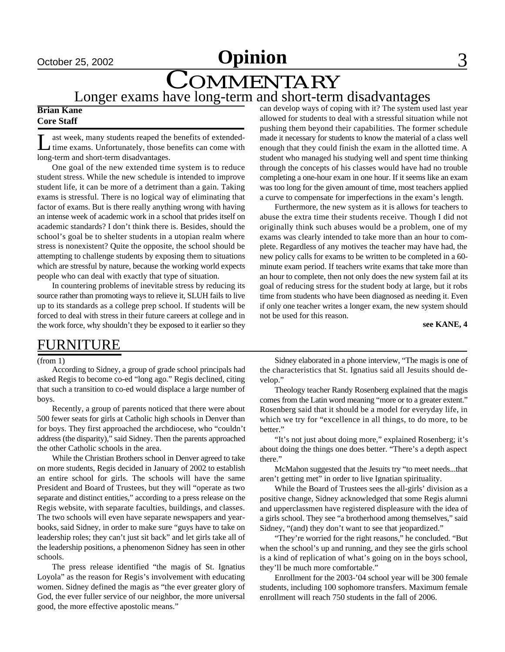# <u>October 25, 2002 **Opinion** 3</u>

# COMMENTARY

## Longer exams have long-term and short-term disadvantages

### **Brian Kane Core Staff**

L ast week, many students reaped the benefits of extendedtime exams. Unfortunately, those benefits can come with long-term and short-term disadvantages.

One goal of the new extended time system is to reduce student stress. While the new schedule is intended to improve student life, it can be more of a detriment than a gain. Taking exams is stressful. There is no logical way of eliminating that factor of exams. But is there really anything wrong with having an intense week of academic work in a school that prides itself on academic standards? I don't think there is. Besides, should the school's goal be to shelter students in a utopian realm where stress is nonexistent? Quite the opposite, the school should be attempting to challenge students by exposing them to situations which are stressful by nature, because the working world expects people who can deal with exactly that type of situation.

In countering problems of inevitable stress by reducing its source rather than promoting ways to relieve it, SLUH fails to live up to its standards as a college prep school. If students will be forced to deal with stress in their future careers at college and in the work force, why shouldn't they be exposed to it earlier so they can develop ways of coping with it? The system used last year allowed for students to deal with a stressful situation while not pushing them beyond their capabilities. The former schedule made it necessary for students to know the material of a class well enough that they could finish the exam in the allotted time. A student who managed his studying well and spent time thinking through the concepts of his classes would have had no trouble completing a one-hour exam in one hour. If it seems like an exam was too long for the given amount of time, most teachers applied a curve to compensate for imperfections in the exam's length.

Furthermore, the new system as it is allows for teachers to abuse the extra time their students receive. Though I did not originally think such abuses would be a problem, one of my exams was clearly intended to take more than an hour to complete. Regardless of any motives the teacher may have had, the new policy calls for exams to be written to be completed in a 60 minute exam period. If teachers write exams that take more than an hour to complete, then not only does the new system fail at its goal of reducing stress for the student body at large, but it robs time from students who have been diagnosed as needing it. Even if only one teacher writes a longer exam, the new system should not be used for this reason.

**see KANE, 4**

### FURNITURE

(from 1)

According to Sidney, a group of grade school principals had asked Regis to become co-ed "long ago." Regis declined, citing that such a transition to co-ed would displace a large number of boys.

Recently, a group of parents noticed that there were about 500 fewer seats for girls at Catholic high schools in Denver than for boys. They first approached the archdiocese, who "couldn't address (the disparity)," said Sidney. Then the parents approached the other Catholic schools in the area.

While the Christian Brothers school in Denver agreed to take on more students, Regis decided in January of 2002 to establish an entire school for girls. The schools will have the same President and Board of Trustees, but they will "operate as two separate and distinct entities," according to a press release on the Regis website, with separate faculties, buildings, and classes. The two schools will even have separate newspapers and yearbooks, said Sidney, in order to make sure "guys have to take on leadership roles; they can't just sit back" and let girls take all of the leadership positions, a phenomenon Sidney has seen in other schools.

The press release identified "the magis of St. Ignatius Loyola" as the reason for Regis's involvement with educating women. Sidney defined the magis as "the ever greater glory of God, the ever fuller service of our neighbor, the more universal good, the more effective apostolic means."

Sidney elaborated in a phone interview, "The magis is one of the characteristics that St. Ignatius said all Jesuits should develop."

Theology teacher Randy Rosenberg explained that the magis comes from the Latin word meaning "more or to a greater extent." Rosenberg said that it should be a model for everyday life, in which we try for "excellence in all things, to do more, to be better."

"It's not just about doing more," explained Rosenberg; it's about doing the things one does better. "There's a depth aspect there."

McMahon suggested that the Jesuits try "to meet needs...that aren't getting met" in order to live Ignatian spirituality.

While the Board of Trustees sees the all-girls' division as a positive change, Sidney acknowledged that some Regis alumni and upperclassmen have registered displeasure with the idea of a girls school. They see "a brotherhood among themselves," said Sidney, "(and) they don't want to see that jeopardized."

"They're worried for the right reasons," he concluded. "But when the school's up and running, and they see the girls school is a kind of replication of what's going on in the boys school, they'll be much more comfortable."

Enrollment for the 2003-'04 school year will be 300 female students, including 100 sophomore transfers. Maximum female enrollment will reach 750 students in the fall of 2006.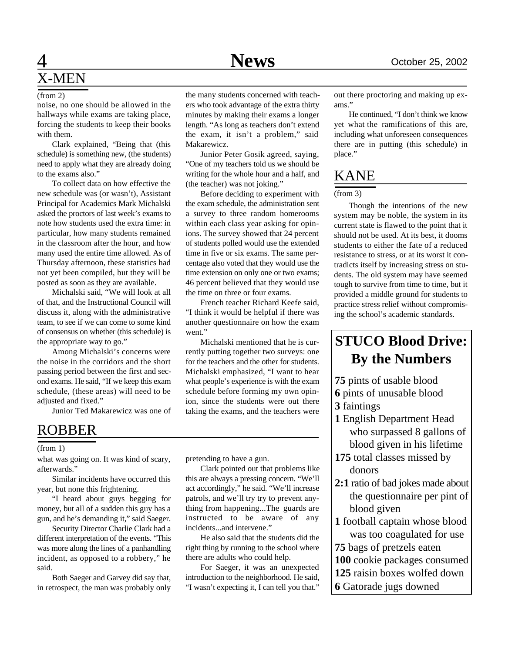#### (from 2)

noise, no one should be allowed in the hallways while exams are taking place, forcing the students to keep their books with them.

Clark explained, "Being that (this schedule) is something new, (the students) need to apply what they are already doing to the exams also."

To collect data on how effective the new schedule was (or wasn't), Assistant Principal for Academics Mark Michalski asked the proctors of last week's exams to note how students used the extra time: in particular, how many students remained in the classroom after the hour, and how many used the entire time allowed. As of Thursday afternoon, these statistics had not yet been compiled, but they will be posted as soon as they are available.

Michalski said, "We will look at all of that, and the Instructional Council will discuss it, along with the administrative team, to see if we can come to some kind of consensus on whether (this schedule) is the appropriate way to go."

Among Michalski's concerns were the noise in the corridors and the short passing period between the first and second exams. He said, "If we keep this exam schedule, (these areas) will need to be adjusted and fixed."

Junior Ted Makarewicz was one of

### ROBBER

#### (from 1)

what was going on. It was kind of scary, afterwards."

Similar incidents have occurred this year, but none this frightening.

"I heard about guys begging for money, but all of a sudden this guy has a gun, and he's demanding it," said Saeger.

Security Director Charlie Clark had a different interpretation of the events. "This was more along the lines of a panhandling incident, as opposed to a robbery," he said.

Both Saeger and Garvey did say that, in retrospect, the man was probably only the many students concerned with teachers who took advantage of the extra thirty minutes by making their exams a longer length. "As long as teachers don't extend the exam, it isn't a problem," said Makarewicz.

Junior Peter Gosik agreed, saying, "One of my teachers told us we should be writing for the whole hour and a half, and (the teacher) was not joking."

Before deciding to experiment with the exam schedule, the administration sent a survey to three random homerooms within each class year asking for opinions. The survey showed that 24 percent of students polled would use the extended time in five or six exams. The same percentage also voted that they would use the time extension on only one or two exams; 46 percent believed that they would use the time on three or four exams.

French teacher Richard Keefe said, "I think it would be helpful if there was another questionnaire on how the exam went."

Michalski mentioned that he is currently putting together two surveys: one for the teachers and the other for students. Michalski emphasized, "I want to hear what people's experience is with the exam schedule before forming my own opinion, since the students were out there taking the exams, and the teachers were

pretending to have a gun.

Clark pointed out that problems like this are always a pressing concern. "We'll act accordingly," he said. "We'll increase patrols, and we'll try try to prevent anything from happening...The guards are instructed to be aware of any incidents...and intervene."

He also said that the students did the right thing by running to the school where there are adults who could help.

For Saeger, it was an unexpected introduction to the neighborhood. He said, "I wasn't expecting it, I can tell you that."

out there proctoring and making up exams."

He continued, "I don't think we know yet what the ramifications of this are, including what unforeseen consequences there are in putting (this schedule) in place."

### KANE

### (from 3)

Though the intentions of the new system may be noble, the system in its current state is flawed to the point that it should not be used. At its best, it dooms students to either the fate of a reduced resistance to stress, or at its worst it contradicts itself by increasing stress on students. The old system may have seemed tough to survive from time to time, but it provided a middle ground for students to practice stress relief without compromising the school's academic standards.

### **STUCO Blood Drive: By the Numbers**

- **75** pints of usable blood
- **6** pints of unusable blood
- **3** faintings
- **1** English Department Head who surpassed 8 gallons of blood given in his lifetime

**175** total classes missed by donors

- **2:1** ratio of bad jokes made about the questionnaire per pint of blood given
- **1** football captain whose blood was too coagulated for use
- **75** bags of pretzels eaten
- **100** cookie packages consumed
- **125** raisin boxes wolfed down
- **6** Gatorade jugs downed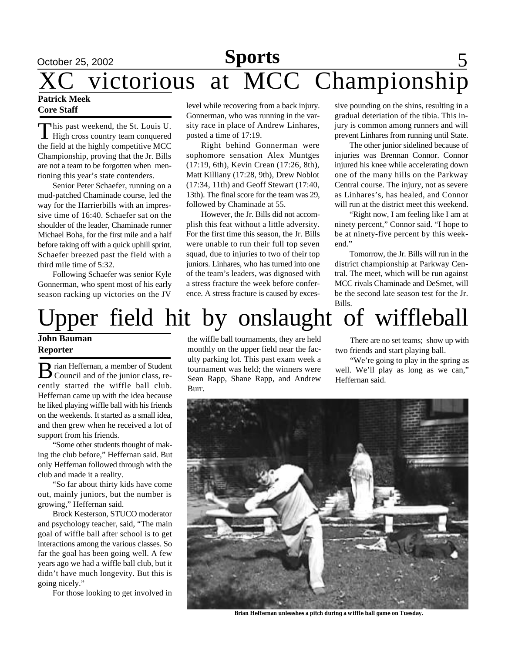## <u>October 25, 2002 **Sports** 5</u> XC victorious at MCC Championship **Patrick Meek**

### **Core Staff**

This past weekend, the St. Louis U.<br>High cross country team conquered This past weekend, the St. Louis U. the field at the highly competitive MCC Championship, proving that the Jr. Bills are not a team to be forgotten when mentioning this year's state contenders.

Senior Peter Schaefer, running on a mud-patched Chaminade course, led the way for the Harrierbills with an impressive time of 16:40. Schaefer sat on the shoulder of the leader, Chaminade runner Michael Boha, for the first mile and a half before taking off with a quick uphill sprint. Schaefer breezed past the field with a third mile time of 5:32.

Following Schaefer was senior Kyle Gonnerman, who spent most of his early season racking up victories on the JV

level while recovering from a back injury. sive pounding on the shins, resulting in a Gonnerman, who was running in the varsity race in place of Andrew Linhares, posted a time of 17:19.

Right behind Gonnerman were sophomore sensation Alex Muntges (17:19, 6th), Kevin Crean (17:26, 8th), Matt Killiany (17:28, 9th), Drew Noblot (17:34, 11th) and Geoff Stewart (17:40, 13th). The final score for the team was 29, followed by Chaminade at 55.

However, the Jr. Bills did not accomplish this feat without a little adversity. For the first time this season, the Jr. Bills were unable to run their full top seven squad, due to injuries to two of their top juniors. Linhares, who has turned into one of the team's leaders, was dignosed with a stress fracture the week before conference. A stress fracture is caused by excesgradual deteriation of the tibia. This injury is common among runners and will prevent Linhares from running until State.

The other junior sidelined because of injuries was Brennan Connor. Connor injured his knee while accelerating down one of the many hills on the Parkway Central course. The injury, not as severe as Linhares's, has healed, and Connor will run at the district meet this weekend.

"Right now, I am feeling like I am at ninety percent," Connor said. "I hope to be at ninety-five percent by this weekend."

Tomorrow, the Jr. Bills will run in the district championship at Parkway Central. The meet, which will be run against MCC rivals Chaminade and DeSmet, will be the second late season test for the Jr. Bills.

# pper field hit by onslaught of wiffleball

**John Bauman Reporter**

 $\bf{B}$  rian Heffernan, a member of Student<br>Council and of the junior class, rerian Heffernan, a member of Student cently started the wiffle ball club. Heffernan came up with the idea because he liked playing wiffle ball with his friends on the weekends. It started as a small idea, and then grew when he received a lot of support from his friends.

"Some other students thought of making the club before," Heffernan said. But only Heffernan followed through with the club and made it a reality.

"So far about thirty kids have come out, mainly juniors, but the number is growing," Heffernan said.

Brock Kesterson, STUCO moderator and psychology teacher, said, "The main goal of wiffle ball after school is to get interactions among the various classes. So far the goal has been going well. A few years ago we had a wiffle ball club, but it didn't have much longevity. But this is going nicely."

For those looking to get involved in

the wiffle ball tournaments, they are held monthly on the upper field near the faculty parking lot. This past exam week a tournament was held; the winners were Sean Rapp, Shane Rapp, and Andrew Burr.

There are no set teams; show up with two friends and start playing ball.

"We're going to play in the spring as well. We'll play as long as we can," Heffernan said.



**Brian Heffernan unleashes a pitch during a wiffle ball game on Tuesday.**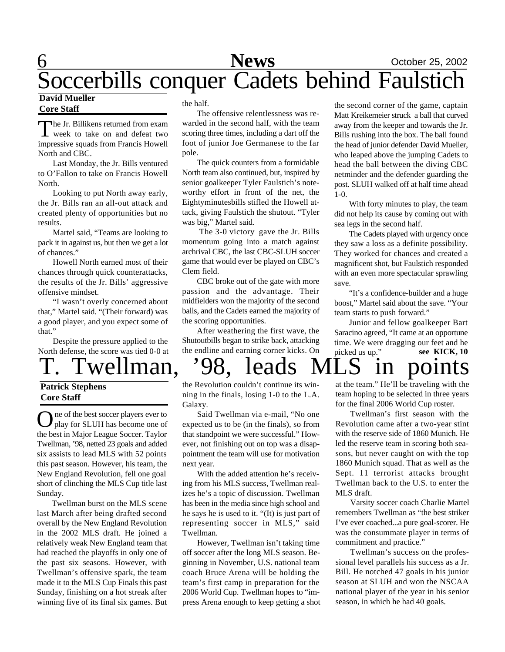## 6 **News** October 25, 2002 Soccerbills conquer Cadets behind Faulstich

#### **David Mueller Core Staff**

The Jr. Billikens returned from exam<br>week to take on and defeat two  $\Box$  he Jr. Billikens returned from exam impressive squads from Francis Howell North and CBC.

Last Monday, the Jr. Bills ventured to O'Fallon to take on Francis Howell North.

Looking to put North away early, the Jr. Bills ran an all-out attack and created plenty of opportunities but no results.

Martel said, "Teams are looking to pack it in against us, but then we get a lot of chances."

Howell North earned most of their chances through quick counterattacks, the results of the Jr. Bills' aggressive offensive mindset.

"I wasn't overly concerned about that," Martel said. "(Their forward) was a good player, and you expect some of that."

Despite the pressure applied to the North defense, the score was tied 0-0 at

### **Patrick Stephens Core Staff**

O ne of the best soccer players ever to<br>play for SLUH has become one of play for SLUH has become one of the best in Major League Soccer. Taylor Twellman, '98, netted 23 goals and added six assists to lead MLS with 52 points this past season. However, his team, the New England Revolution, fell one goal short of clinching the MLS Cup title last Sunday.

Twellman burst on the MLS scene last March after being drafted second overall by the New England Revolution in the 2002 MLS draft. He joined a relatively weak New England team that had reached the playoffs in only one of the past six seasons. However, with Twellman's offensive spark, the team made it to the MLS Cup Finals this past Sunday, finishing on a hot streak after winning five of its final six games. But the half.

The offensive relentlessness was rewarded in the second half, with the team scoring three times, including a dart off the foot of junior Joe Germanese to the far pole.

The quick counters from a formidable North team also continued, but, inspired by senior goalkeeper Tyler Faulstich's noteworthy effort in front of the net, the Eightyminutesbills stifled the Howell attack, giving Faulstich the shutout. "Tyler was big," Martel said.

 The 3-0 victory gave the Jr. Bills momentum going into a match against archrival CBC, the last CBC-SLUH soccer game that would ever be played on CBC's Clem field.

CBC broke out of the gate with more passion and the advantage. Their midfielders won the majority of the second balls, and the Cadets earned the majority of the scoring opportunities.

After weathering the first wave, the Shutoutbills began to strike back, attacking the endline and earning corner kicks. On

the second corner of the game, captain Matt Kreikemeier struck a ball that curved away from the keeper and towards the Jr. Bills rushing into the box. The ball found the head of junior defender David Mueller, who leaped above the jumping Cadets to head the ball between the diving CBC netminder and the defender guarding the post. SLUH walked off at half time ahead 1-0.

With forty minutes to play, the team did not help its cause by coming out with sea legs in the second half.

The Cadets played with urgency once they saw a loss as a definite possibility. They worked for chances and created a magnificent shot, but Faulstich responded with an even more spectacular sprawling save.

"It's a confidence-builder and a huge boost," Martel said about the save. "Your team starts to push forward."

**see KICK, 10** Junior and fellow goalkeeper Bart Saracino agreed, "It came at an opportune time. We were dragging our feet and he picked us up."

## Twellman, '98, leads MLS in poin

the Revolution couldn't continue its winning in the finals, losing 1-0 to the L.A. Galaxy.

Said Twellman via e-mail, "No one expected us to be (in the finals), so from that standpoint we were successful." However, not finishing out on top was a disappointment the team will use for motivation next year.

With the added attention he's receiving from his MLS success, Twellman realizes he's a topic of discussion. Twellman has been in the media since high school and he says he is used to it. "(It) is just part of representing soccer in MLS," said Twellman.

However, Twellman isn't taking time off soccer after the long MLS season. Beginning in November, U.S. national team coach Bruce Arena will be holding the team's first camp in preparation for the 2006 World Cup. Twellman hopes to "impress Arena enough to keep getting a shot

at the team." He'll be traveling with the team hoping to be selected in three years for the final 2006 World Cup roster.

Twellman's first season with the Revolution came after a two-year stint with the reserve side of 1860 Munich. He led the reserve team in scoring both seasons, but never caught on with the top 1860 Munich squad. That as well as the Sept. 11 terrorist attacks brought Twellman back to the U.S. to enter the MLS draft.

Varsity soccer coach Charlie Martel remembers Twellman as "the best striker I've ever coached...a pure goal-scorer. He was the consummate player in terms of commitment and practice."

Twellman's success on the professional level parallels his success as a Jr. Bill. He notched 47 goals in his junior season at SLUH and won the NSCAA national player of the year in his senior season, in which he had 40 goals.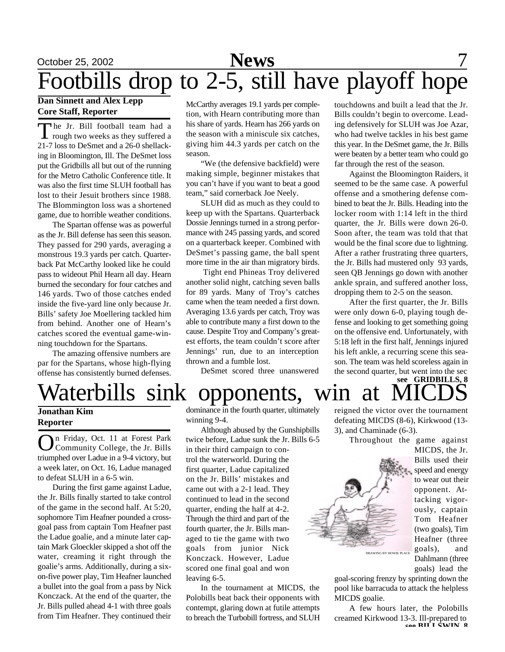# October 25, 2002 **News** 7 Footbills drop to 2-5, still have playoff hope

### **Dan Sinnett and Alex Lepp Core Staff, Reporter**

The Jr. Bill football team had a<br>rough two weeks as they suffered a he Jr. Bill football team had a 21-7 loss to DeSmet and a 26-0 shellacking in Bloomington, Ill. The DeSmet loss put the Gridbills all but out of the running for the Metro Catholic Conference title. It was also the first time SLUH football has lost to their Jesuit brothers since 1988. The Blommington loss was a shortened game, due to horrible weather conditions.

The Spartan offense was as powerful as the Jr. Bill defense has seen this season. They passed for 290 yards, averaging a monstrous 19.3 yards per catch. Quarterback Pat McCarthy looked like he could pass to wideout Phil Hearn all day. Hearn burned the secondary for four catches and 146 yards. Two of those catches ended inside the five-yard line only because Jr. Bills' safety Joe Moellering tackled him from behind. Another one of Hearn's catches scored the eventual game-winning touchdown for the Spartans.

The amazing offensive numbers are par for the Spartans, whose high-flying offense has consistently burned defenses.

McCarthy averages 19.1 yards per completion, with Hearn contributing more than his share of yards. Hearn has 266 yards on the season with a miniscule six catches, giving him 44.3 yards per catch on the season.

"We (the defensive backfield) were making simple, beginner mistakes that you can't have if you want to beat a good team," said cornerback Joe Neely.

SLUH did as much as they could to keep up with the Spartans. Quarterback Dossie Jennings turned in a strong performance with 245 passing yards, and scored on a quarterback keeper. Combined with DeSmet's passing game, the ball spent more time in the air than migratory birds.

 Tight end Phineas Troy delivered another solid night, catching seven balls for 89 yards. Many of Troy's catches came when the team needed a first down. Averaging 13.6 yards per catch, Troy was able to contribute many a first down to the cause. Despite Troy and Company's greatest efforts, the team couldn't score after Jennings' run, due to an interception thrown and a fumble lost.

DeSmet scored three unanswered

touchdowns and built a lead that the Jr. Bills couldn't begin to overcome. Leading defensively for SLUH was Joe Azar, who had twelve tackles in his best game this year. In the DeSmet game, the Jr. Bills were beaten by a better team who could go far through the rest of the season.

Against the Bloomington Raiders, it seemed to be the same case. A powerful offense and a smothering defense combined to beat the Jr. Bills. Heading into the locker room with 1:14 left in the third quarter, the Jr. Bills were down 26-0. Soon after, the team was told that that would be the final score due to lightning. After a rather frustrating three quarters, the Jr. Bills had mustered only 93 yards, seen QB Jennings go down with another ankle sprain, and suffered another loss, dropping them to 2-5 on the season.

After the first quarter, the Jr. Bills were only down 6-0, playing tough defense and looking to get something going on the offensive end. Unfortunately, with 5:18 left in the first half, Jennings injured his left ankle, a recurring scene this season. The team was held scoreless again in the second quarter, but went into the sec

### **see GRIDBILLS, 8** Waterbills sink opponents, win at MI

### **Jonathan Kim Reporter**

O n Friday, Oct. 11 at Forest Park Community College, the Jr. Bills triumphed over Ladue in a 9-4 victory, but a week later, on Oct. 16, Ladue managed to defeat SLUH in a 6-5 win.

During the first game against Ladue, the Jr. Bills finally started to take control of the game in the second half. At 5:20, sophomore Tim Heafner pounded a crossgoal pass from captain Tom Heafner past the Ladue goalie, and a minute later captain Mark Gloeckler skipped a shot off the water, creaming it right through the goalie's arms. Additionally, during a sixon-five power play, Tim Heafner launched a bullet into the goal from a pass by Nick Konczack. At the end of the quarter, the Jr. Bills pulled ahead 4-1 with three goals from Tim Heafner. They continued their

dominance in the fourth quarter, ultimately winning 9-4.

Although abused by the Gunshipbills twice before, Ladue sunk the Jr. Bills 6-5 in their third campaign to control the waterworld. During the first quarter, Ladue capitalized on the Jr. Bills' mistakes and came out with a 2-1 lead. They continued to lead in the second quarter, ending the half at 4-2. Through the third and part of the fourth quarter, the Jr. Bills managed to tie the game with two goals from junior Nick Konczack. However, Ladue scored one final goal and won leaving 6-5.

In the tournament at MICDS, the Polobills beat back their opponents with contempt, glaring down at futile attempts to breach the Turbobill fortress, and SLUH reigned the victor over the tournament defeating MICDS (8-6), Kirkwood (13- 3), and Chaminade (6-3).

Throughout the game against



MICDS, the Jr. Bills used their speed and energy to wear out their opponent. Attacking vigorously, captain Tom Heafner (two goals), Tim Heafner (three goals), and Dahlmann (three goals) lead the

goal-scoring frenzy by sprinting down the pool like barracuda to attack the helpless MICDS goalie.

A few hours later, the Polobills creamed Kirkwood 13-3. Ill-prepared to **see BILLSWIN, 8**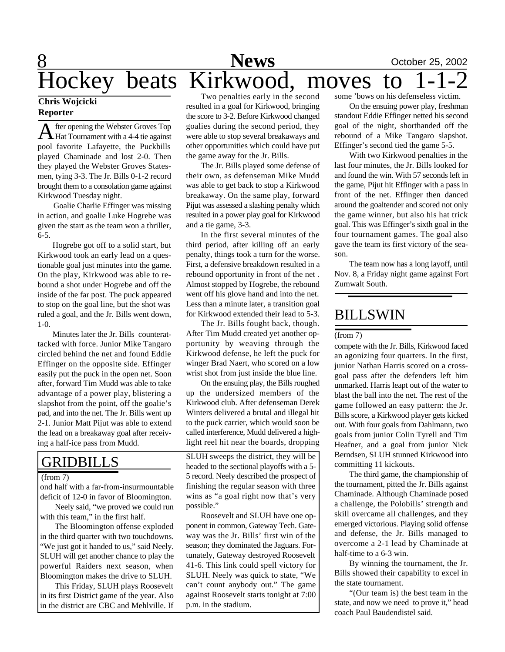### 8 **News** October 25, 2002 Two penalties early in the second some 'bows on his defenseless victim. Hockey beats Kirkwood, moves to

### **Chris Wojcicki Reporter**

A fter opening the Webster Groves Top<br>Hat Tournament with a 4-4 tie against fter opening the Webster Groves Top pool favorite Lafayette, the Puckbills played Chaminade and lost 2-0. Then they played the Webster Groves Statesmen, tying 3-3. The Jr. Bills 0-1-2 record brought them to a consolation game against Kirkwood Tuesday night.

 Goalie Charlie Effinger was missing in action, and goalie Luke Hogrebe was given the start as the team won a thriller, 6-5.

Hogrebe got off to a solid start, but Kirkwood took an early lead on a questionable goal just minutes into the game. On the play, Kirkwood was able to rebound a shot under Hogrebe and off the inside of the far post. The puck appeared to stop on the goal line, but the shot was ruled a goal, and the Jr. Bills went down, 1-0.

Minutes later the Jr. Bills counterattacked with force. Junior Mike Tangaro circled behind the net and found Eddie Effinger on the opposite side. Effinger easily put the puck in the open net. Soon after, forward Tim Mudd was able to take advantage of a power play, blistering a slapshot from the point, off the goalie's pad, and into the net. The Jr. Bills went up 2-1. Junior Matt Pijut was able to extend the lead on a breakaway goal after receiving a half-ice pass from Mudd.

### GRIDBILLS

#### (from 7)

ond half with a far-from-insurmountable deficit of 12-0 in favor of Bloomington.

Neely said, "we proved we could run with this team," in the first half.

The Bloomington offense exploded in the third quarter with two touchdowns. "We just got it handed to us," said Neely. SLUH will get another chance to play the powerful Raiders next season, when Bloomington makes the drive to SLUH.

This Friday, SLUH plays Roosevelt in its first District game of the year. Also in the district are CBC and Mehlville. If resulted in a goal for Kirkwood, bringing the score to 3-2. Before Kirkwood changed goalies during the second period, they were able to stop several breakaways and other opportunities which could have put the game away for the Jr. Bills.

The Jr. Bills played some defense of their own, as defenseman Mike Mudd was able to get back to stop a Kirkwood breakaway. On the same play, forward Pijut was assessed a slashing penalty which resulted in a power play goal for Kirkwood and a tie game, 3-3.

In the first several minutes of the third period, after killing off an early penalty, things took a turn for the worse. First, a defensive breakdown resulted in a rebound opportunity in front of the net . Almost stopped by Hogrebe, the rebound went off his glove hand and into the net. Less than a minute later, a transition goal for Kirkwood extended their lead to 5-3.

The Jr. Bills fought back, though. After Tim Mudd created yet another opportunity by weaving through the Kirkwood defense, he left the puck for winger Brad Naert, who scored on a low wrist shot from just inside the blue line.

On the ensuing play, the Bills roughed up the undersized members of the Kirkwood club. After defenseman Derek Winters delivered a brutal and illegal hit to the puck carrier, which would soon be called interference, Mudd delivered a highlight reel hit near the boards, dropping

SLUH sweeps the district, they will be headed to the sectional playoffs with a 5- 5 record. Neely described the prospect of finishing the regular season with three wins as "a goal right now that's very possible."

Roosevelt and SLUH have one opponent in common, Gateway Tech. Gateway was the Jr. Bills' first win of the season; they dominated the Jaguars. Fortunately, Gateway destroyed Roosevelt 41-6. This link could spell victory for SLUH. Neely was quick to state, "We can't count anybody out." The game against Roosevelt starts tonight at 7:00 p.m. in the stadium.

On the ensuing power play, freshman standout Eddie Effinger netted his second goal of the night, shorthanded off the rebound of a Mike Tangaro slapshot. Effinger's second tied the game 5-5.

With two Kirkwood penalties in the last four minutes, the Jr. Bills looked for and found the win. With 57 seconds left in the game, Pijut hit Effinger with a pass in front of the net. Effinger then danced around the goaltender and scored not only the game winner, but also his hat trick goal. This was Effinger's sixth goal in the four tournament games. The goal also gave the team its first victory of the season.

The team now has a long layoff, until Nov. 8, a Friday night game against Fort Zumwalt South.

### BILLSWIN

#### (from 7)

compete with the Jr. Bills, Kirkwood faced an agonizing four quarters. In the first, junior Nathan Harris scored on a crossgoal pass after the defenders left him unmarked. Harris leapt out of the water to blast the ball into the net. The rest of the game followed an easy pattern: the Jr. Bills score, a Kirkwood player gets kicked out. With four goals from Dahlmann, two goals from junior Colin Tyrell and Tim Heafner, and a goal from junior Nick Berndsen, SLUH stunned Kirkwood into committing 11 kickouts.

The third game, the championship of the tournament, pitted the Jr. Bills against Chaminade. Although Chaminade posed a challenge, the Polobills' strength and skill overcame all challenges, and they emerged victorious. Playing solid offense and defense, the Jr. Bills managed to overcome a 2-1 lead by Chaminade at half-time to a 6-3 win.

By winning the tournament, the Jr. Bills showed their capability to excel in the state tournament.

"(Our team is) the best team in the state, and now we need to prove it," head coach Paul Baudendistel said.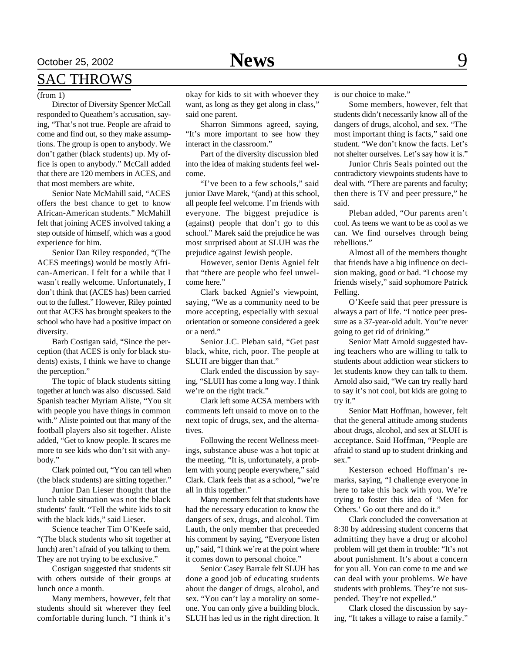## October 25, 2002 **News** 9

### SAC THROWS

#### (from 1)

Director of Diversity Spencer McCall responded to Queathem's accusation, saying, "That's not true. People are afraid to come and find out, so they make assumptions. The group is open to anybody. We don't gather (black students) up. My office is open to anybody." McCall added that there are 120 members in ACES, and that most members are white.

Senior Nate McMahill said, "ACES offers the best chance to get to know African-American students." McMahill felt that joining ACES involved taking a step outside of himself, which was a good experience for him.

Senior Dan Riley responded, "(The ACES meetings) would be mostly African-American. I felt for a while that I wasn't really welcome. Unfortunately, I don't think that (ACES has) been carried out to the fullest." However, Riley pointed out that ACES has brought speakers to the school who have had a positive impact on diversity.

Barb Costigan said, "Since the perception (that ACES is only for black students) exists, I think we have to change the perception."

The topic of black students sitting together at lunch was also discussed. Said Spanish teacher Myriam Aliste, "You sit with people you have things in common with." Aliste pointed out that many of the football players also sit together. Aliste added, "Get to know people. It scares me more to see kids who don't sit with anybody."

Clark pointed out, "You can tell when (the black students) are sitting together."

Junior Dan Lieser thought that the lunch table situation was not the black students' fault. "Tell the white kids to sit with the black kids," said Lieser.

Science teacher Tim O'Keefe said, "(The black students who sit together at lunch) aren't afraid of you talking to them. They are not trying to be exclusive."

Costigan suggested that students sit with others outside of their groups at lunch once a month.

Many members, however, felt that students should sit wherever they feel comfortable during lunch. "I think it's

okay for kids to sit with whoever they want, as long as they get along in class," said one parent.

Sharron Simmons agreed, saying, "It's more important to see how they interact in the classroom."

Part of the diversity discussion bled into the idea of making students feel welcome.

"I've been to a few schools," said junior Dave Marek, "(and) at this school, all people feel welcome. I'm friends with everyone. The biggest prejudice is (against) people that don't go to this school." Marek said the prejudice he was most surprised about at SLUH was the prejudice against Jewish people.

However, senior Denis Agniel felt that "there are people who feel unwelcome here."

Clark backed Agniel's viewpoint, saying, "We as a community need to be more accepting, especially with sexual orientation or someone considered a geek or a nerd."

Senior J.C. Pleban said, "Get past black, white, rich, poor. The people at SLUH are bigger than that."

Clark ended the discussion by saying, "SLUH has come a long way. I think we're on the right track."

Clark left some ACSA members with comments left unsaid to move on to the next topic of drugs, sex, and the alternatives.

Following the recent Wellness meetings, substance abuse was a hot topic at the meeting. "It is, unfortunately, a problem with young people everywhere," said Clark. Clark feels that as a school, "we're all in this together."

Many members felt that students have had the necessary education to know the dangers of sex, drugs, and alcohol. Tim Lauth, the only member that preceeded his comment by saying, "Everyone listen up," said, "I think we're at the point where it comes down to personal choice."

Senior Casey Barrale felt SLUH has done a good job of educating students about the danger of drugs, alcohol, and sex. "You can't lay a morality on someone. You can only give a building block. SLUH has led us in the right direction. It is our choice to make."

Some members, however, felt that students didn't necessarily know all of the dangers of drugs, alcohol, and sex. "The most important thing is facts," said one student. "We don't know the facts. Let's not shelter ourselves. Let's say how it is."

Junior Chris Seals pointed out the contradictory viewpoints students have to deal with. "There are parents and faculty; then there is TV and peer pressure," he said.

Pleban added, "Our parents aren't cool. As teens we want to be as cool as we can. We find ourselves through being rebellious."

Almost all of the members thought that friends have a big influence on decision making, good or bad. "I choose my friends wisely," said sophomore Patrick Felling.

O'Keefe said that peer pressure is always a part of life. "I notice peer pressure as a 37-year-old adult. You're never going to get rid of drinking."

Senior Matt Arnold suggested having teachers who are willing to talk to students about addiction wear stickers to let students know they can talk to them. Arnold also said, "We can try really hard to say it's not cool, but kids are going to try it."

Senior Matt Hoffman, however, felt that the general attitude among students about drugs, alcohol, and sex at SLUH is acceptance. Said Hoffman, "People are afraid to stand up to student drinking and sex."

Kesterson echoed Hoffman's remarks, saying, "I challenge everyone in here to take this back with you. We're trying to foster this idea of 'Men for Others.' Go out there and do it."

Clark concluded the conversation at 8:30 by addressing student concerns that admitting they have a drug or alcohol problem will get them in trouble: "It's not about punishment. It's about a concern for you all. You can come to me and we can deal with your problems. We have students with problems. They're not suspended. They're not expelled."

Clark closed the discussion by saying, "It takes a village to raise a family."